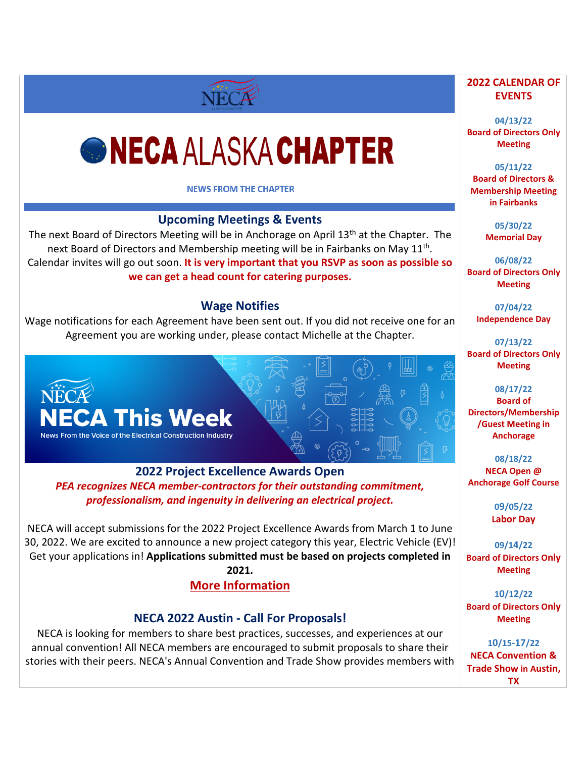# *GNECA ALASKA CHAPTER*

NECA

#### **NEWS FROM THE CHAPTER**

## **Upcoming Meetings & Events**

The next Board of Directors Meeting will be in Anchorage on April 13<sup>th</sup> at the Chapter. The next Board of Directors and Membership meeting will be in Fairbanks on May  $11^{th}$ . Calendar invites will go out soon. **It is very important that you RSVP as soon as possible so we can get a head count for catering purposes.**

#### **Wage Notifies**

Wage notifications for each Agreement have been sent out. If you did not receive one for an Agreement you are working under, please contact Michelle at the Chapter.



**2022 Project Excellence Awards Open** *PEA recognizes NECA member-contractors for their outstanding commitment, professionalism, and ingenuity in delivering an electrical project.*

NECA will accept submissions for the 2022 Project Excellence Awards from March 1 to June 30, 2022. We are excited to announce a new project category this year, Electric Vehicle (EV)! Get your applications in! **Applications submitted must be based on projects completed in 2021.**

**[More Information](https://neca.secure-platform.com/a/page/about/award)**

#### **NECA 2022 Austin - Call For Proposals!**

NECA is looking for members to share best practices, successes, and experiences at our annual convention! All NECA members are encouraged to submit proposals to share their stories with their peers. NECA's Annual Convention and Trade Show provides members with

#### **2022 CALENDAR OF EVENTS**

**04/13/22 Board of Directors Only Meeting**

**05/11/22 Board of Directors & Membership Meeting in Fairbanks**

> **05/30/22 Memorial Day**

**06/08/22 Board of Directors Only Meeting** 

> **07/04/22 Independence Day**

**07/13/22 Board of Directors Only Meeting**

**08/17/22 Board of Directors/Membership /Guest Meeting in Anchorage**

**08/18/22 NECA Open @ Anchorage Golf Course**

> **09/05/22 Labor Day**

**09/14/22 Board of Directors Only Meeting**

**10/12/22 Board of Directors Only Meeting**

**10/15-17/22 NECA Convention & Trade Show in Austin, TX**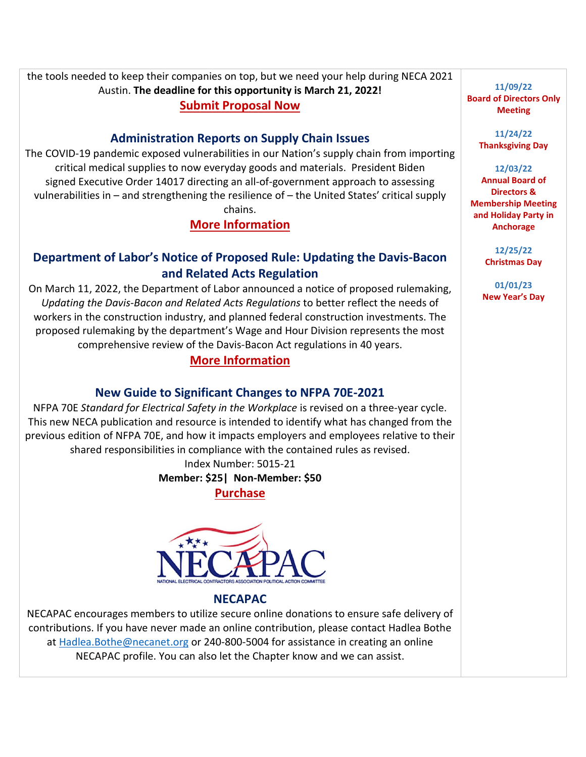the tools needed to keep their companies on top, but we need your help during NECA 2021 Austin. **The deadline for this opportunity is March 21, 2022! [Submit Proposal Now](https://proposalspace.com/calls/d/1421)**

### **Administration Reports on Supply Chain Issues**

The COVID-19 pandemic exposed vulnerabilities in our Nation's supply chain from importing critical medical supplies to now everyday goods and materials. President Biden signed Executive Order 14017 directing an all-of-government approach to assessing vulnerabilities in – and strengthening the resilience of – the United States' critical supply chains.

**[More Information](https://d15k2d11r6t6rl.cloudfront.net/public/users/Integrators/BeeProAgency/733059_716145/NECA%20Government%20Affairs%202-28-22_1.pdf)**

# **Department of Labor's Notice of Proposed Rule: Updating the Davis-Bacon and Related Acts Regulation**

On March 11, 2022, the Department of Labor announced a notice of proposed rulemaking, *Updating the Davis-Bacon and Related Acts Regulations* to better reflect the needs of workers in the construction industry, and planned federal construction investments. The proposed rulemaking by the department's Wage and Hour Division represents the most comprehensive review of the Davis-Bacon Act regulations in 40 years.

# **[More Information](https://www.dol.gov/agencies/whd/government-contracts/construction/NPRM-davis-bacon)**

#### **New Guide to Significant Changes to NFPA 70E-2021**

NFPA 70E *Standard for Electrical Safety in the Workplace* is revised on a three-year cycle. This new NECA publication and resource is intended to identify what has changed from the previous edition of NFPA 70E, and how it impacts employers and employees relative to their shared responsibilities in compliance with the contained rules as revised.

> Index Number: 5015-21 **Member: \$25| Non-Member: \$50**

> > **[Purchase](https://portal.necanet.org/s/product-details?id=a1B1U00000ZYkn2UAD)**



#### **NECAPAC**

NECAPAC encourages members to utilize secure online donations to ensure safe delivery of contributions. If you have never made an online contribution, please contact Hadlea Bothe at [Hadlea.Bothe@necanet.org](mailto:Hadlea.Bothe@necanet.org) or 240-800-5004 for assistance in creating an online NECAPAC profile. You can also let the Chapter know and we can assist.

**11/09/22 Board of Directors Only Meeting**

> **11/24/22 Thanksgiving Day**

#### **12/03/22**

**Annual Board of Directors & Membership Meeting and Holiday Party in Anchorage**

> **12/25/22 Christmas Day**

**01/01/23 New Year's Day**